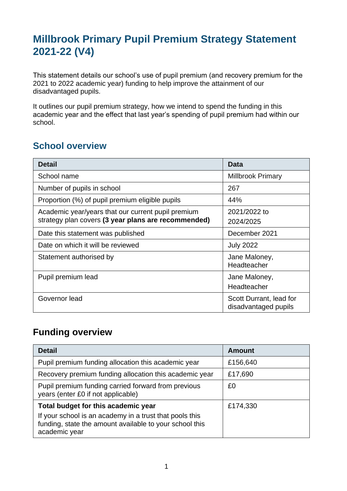## **Millbrook Primary Pupil Premium Strategy Statement 2021-22 (V4)**

This statement details our school's use of pupil premium (and recovery premium for the 2021 to 2022 academic year) funding to help improve the attainment of our disadvantaged pupils.

It outlines our pupil premium strategy, how we intend to spend the funding in this academic year and the effect that last year's spending of pupil premium had within our school.

### **School overview**

| <b>Detail</b>                                       | Data                                            |
|-----------------------------------------------------|-------------------------------------------------|
| School name                                         | <b>Millbrook Primary</b>                        |
| Number of pupils in school                          | 267                                             |
| Proportion (%) of pupil premium eligible pupils     | 44%                                             |
| Academic year/years that our current pupil premium  | 2021/2022 to                                    |
| strategy plan covers (3 year plans are recommended) | 2024/2025                                       |
| Date this statement was published                   | December 2021                                   |
| Date on which it will be reviewed                   | <b>July 2022</b>                                |
| Statement authorised by                             | Jane Maloney,                                   |
|                                                     | Headteacher                                     |
| Pupil premium lead                                  | Jane Maloney,                                   |
|                                                     | Headteacher                                     |
| Governor lead                                       | Scott Durrant, lead for<br>disadvantaged pupils |

#### **Funding overview**

| <b>Detail</b>                                                                                                                       | <b>Amount</b> |
|-------------------------------------------------------------------------------------------------------------------------------------|---------------|
| Pupil premium funding allocation this academic year                                                                                 | £156,640      |
| Recovery premium funding allocation this academic year                                                                              | £17,690       |
| Pupil premium funding carried forward from previous<br>years (enter £0 if not applicable)                                           | £0            |
| Total budget for this academic year                                                                                                 | £174,330      |
| If your school is an academy in a trust that pools this<br>funding, state the amount available to your school this<br>academic year |               |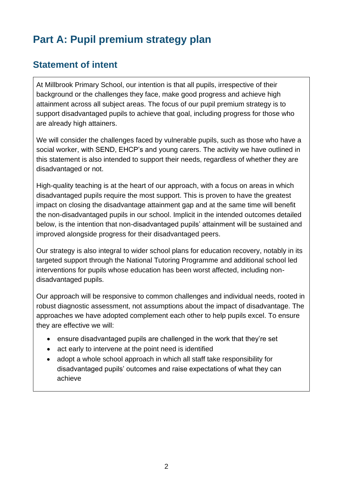# **Part A: Pupil premium strategy plan**

### **Statement of intent**

At Millbrook Primary School, our intention is that all pupils, irrespective of their background or the challenges they face, make good progress and achieve high attainment across all subject areas. The focus of our pupil premium strategy is to support disadvantaged pupils to achieve that goal, including progress for those who are already high attainers.

We will consider the challenges faced by vulnerable pupils, such as those who have a social worker, with SEND, EHCP's and young carers. The activity we have outlined in this statement is also intended to support their needs, regardless of whether they are disadvantaged or not.

High-quality teaching is at the heart of our approach, with a focus on areas in which disadvantaged pupils require the most support. This is proven to have the greatest impact on closing the disadvantage attainment gap and at the same time will benefit the non-disadvantaged pupils in our school. Implicit in the intended outcomes detailed below, is the intention that non-disadvantaged pupils' attainment will be sustained and improved alongside progress for their disadvantaged peers.

Our strategy is also integral to wider school plans for education recovery, notably in its targeted support through the National Tutoring Programme and additional school led interventions for pupils whose education has been worst affected, including nondisadvantaged pupils.

Our approach will be responsive to common challenges and individual needs, rooted in robust diagnostic assessment, not assumptions about the impact of disadvantage. The approaches we have adopted complement each other to help pupils excel. To ensure they are effective we will:

- ensure disadvantaged pupils are challenged in the work that they're set
- act early to intervene at the point need is identified
- adopt a whole school approach in which all staff take responsibility for disadvantaged pupils' outcomes and raise expectations of what they can achieve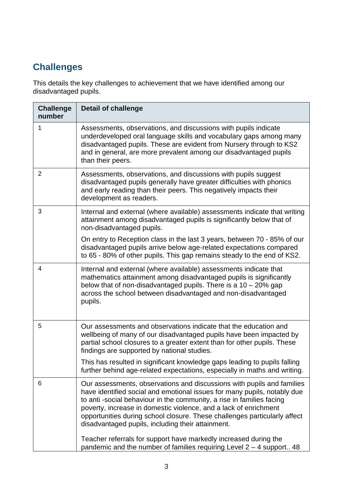## **Challenges**

This details the key challenges to achievement that we have identified among our disadvantaged pupils.

| <b>Challenge</b><br>number | <b>Detail of challenge</b>                                                                                                                                                                                                                                                                                                                                                                                                                                                                                                                                                     |
|----------------------------|--------------------------------------------------------------------------------------------------------------------------------------------------------------------------------------------------------------------------------------------------------------------------------------------------------------------------------------------------------------------------------------------------------------------------------------------------------------------------------------------------------------------------------------------------------------------------------|
| 1                          | Assessments, observations, and discussions with pupils indicate<br>underdeveloped oral language skills and vocabulary gaps among many<br>disadvantaged pupils. These are evident from Nursery through to KS2<br>and in general, are more prevalent among our disadvantaged pupils<br>than their peers.                                                                                                                                                                                                                                                                         |
| $\overline{2}$             | Assessments, observations, and discussions with pupils suggest<br>disadvantaged pupils generally have greater difficulties with phonics<br>and early reading than their peers. This negatively impacts their<br>development as readers.                                                                                                                                                                                                                                                                                                                                        |
| 3                          | Internal and external (where available) assessments indicate that writing<br>attainment among disadvantaged pupils is significantly below that of<br>non-disadvantaged pupils.                                                                                                                                                                                                                                                                                                                                                                                                 |
|                            | On entry to Reception class in the last 3 years, between 70 - 85% of our<br>disadvantaged pupils arrive below age-related expectations compared<br>to 65 - 80% of other pupils. This gap remains steady to the end of KS2.                                                                                                                                                                                                                                                                                                                                                     |
| 4                          | Internal and external (where available) assessments indicate that<br>mathematics attainment among disadvantaged pupils is significantly<br>below that of non-disadvantaged pupils. There is a $10 - 20\%$ gap<br>across the school between disadvantaged and non-disadvantaged<br>pupils.                                                                                                                                                                                                                                                                                      |
| 5                          | Our assessments and observations indicate that the education and<br>wellbeing of many of our disadvantaged pupils have been impacted by<br>partial school closures to a greater extent than for other pupils. These<br>findings are supported by national studies.                                                                                                                                                                                                                                                                                                             |
|                            | This has resulted in significant knowledge gaps leading to pupils falling<br>further behind age-related expectations, especially in maths and writing.                                                                                                                                                                                                                                                                                                                                                                                                                         |
| 6                          | Our assessments, observations and discussions with pupils and families<br>have identified social and emotional issues for many pupils, notably due<br>to anti-social behaviour in the community, a rise in families facing<br>poverty, increase in domestic violence, and a lack of enrichment<br>opportunities during school closure. These challenges particularly affect<br>disadvantaged pupils, including their attainment.<br>Teacher referrals for support have markedly increased during the<br>pandemic and the number of families requiring Level $2 - 4$ support 48 |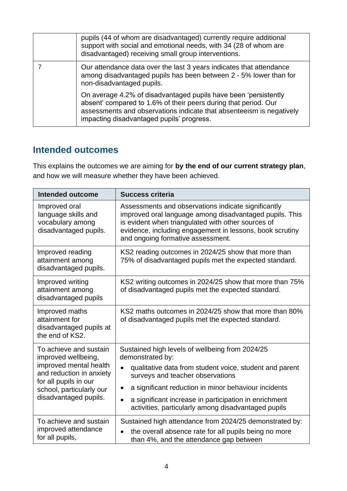| pupils (44 of whom are disadvantaged) currently require additional<br>support with social and emotional needs, with 34 (28 of whom are<br>disadvantaged) receiving small group interventions.                                                           |
|---------------------------------------------------------------------------------------------------------------------------------------------------------------------------------------------------------------------------------------------------------|
| Our attendance data over the last 3 years indicates that attendance<br>among disadvantaged pupils has been between 2 - 5% lower than for<br>non-disadvantaged pupils.                                                                                   |
| On average 4.2% of disadvantaged pupils have been 'persistently<br>absent' compared to 1.6% of their peers during that period. Our<br>assessments and observations indicate that absenteeism is negatively<br>impacting disadvantaged pupils' progress. |

#### **Intended outcomes**

This explains the outcomes we are aiming for **by the end of our current strategy plan**, and how we will measure whether they have been achieved.

| <b>Intended outcome</b>                                                                                                                                                           | <b>Success criteria</b>                                                                                                                                                                                                                                                                                                                                                   |
|-----------------------------------------------------------------------------------------------------------------------------------------------------------------------------------|---------------------------------------------------------------------------------------------------------------------------------------------------------------------------------------------------------------------------------------------------------------------------------------------------------------------------------------------------------------------------|
| Improved oral<br>language skills and<br>vocabulary among<br>disadvantaged pupils.                                                                                                 | Assessments and observations indicate significantly<br>improved oral language among disadvantaged pupils. This<br>is evident when triangulated with other sources of<br>evidence, including engagement in lessons, book scrutiny<br>and ongoing formative assessment.                                                                                                     |
| Improved reading<br>attainment among<br>disadvantaged pupils.                                                                                                                     | KS2 reading outcomes in 2024/25 show that more than<br>75% of disadvantaged pupils met the expected standard.                                                                                                                                                                                                                                                             |
| Improved writing<br>attainment among<br>disadvantaged pupils                                                                                                                      | KS2 writing outcomes in 2024/25 show that more than 75%<br>of disadvantaged pupils met the expected standard.                                                                                                                                                                                                                                                             |
| Improved maths<br>attainment for<br>disadvantaged pupils at<br>the end of KS2.                                                                                                    | KS2 maths outcomes in 2024/25 show that more than 80%<br>of disadvantaged pupils met the expected standard.                                                                                                                                                                                                                                                               |
| To achieve and sustain<br>improved wellbeing,<br>improved mental health<br>and reduction in anxiety<br>for all pupils in our<br>school, particularly our<br>disadvantaged pupils. | Sustained high levels of wellbeing from 2024/25<br>demonstrated by:<br>qualitative data from student voice, student and parent<br>$\bullet$<br>surveys and teacher observations<br>a significant reduction in minor behaviour incidents<br>٠<br>a significant increase in participation in enrichment<br>$\bullet$<br>activities, particularly among disadvantaged pupils |
| To achieve and sustain<br>improved attendance<br>for all pupils,                                                                                                                  | Sustained high attendance from 2024/25 demonstrated by:<br>the overall absence rate for all pupils being no more<br>than 4%, and the attendance gap between                                                                                                                                                                                                               |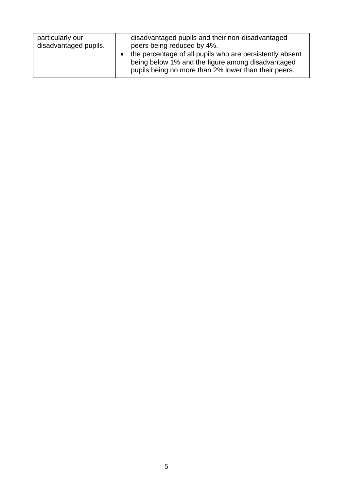| particularly our<br>disadvantaged pupils and their non-disadvantaged<br>disadvantaged pupils.<br>peers being reduced by 4%.                                           |
|-----------------------------------------------------------------------------------------------------------------------------------------------------------------------|
| the percentage of all pupils who are persistently absent<br>being below 1% and the figure among disadvantaged<br>pupils being no more than 2% lower than their peers. |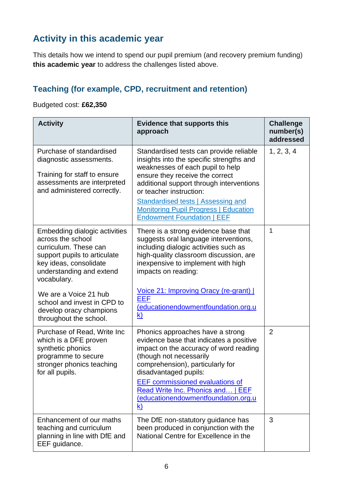### **Activity in this academic year**

This details how we intend to spend our pupil premium (and recovery premium funding) **this academic year** to address the challenges listed above.

### **Teaching (for example, CPD, recruitment and retention)**

Budgeted cost: **£62,350**

| <b>Activity</b>                                                                                                                                                                                                                                                                               | <b>Evidence that supports this</b><br>approach                                                                                                                                                                                                                                                                                                               | <b>Challenge</b><br>number(s)<br>addressed |
|-----------------------------------------------------------------------------------------------------------------------------------------------------------------------------------------------------------------------------------------------------------------------------------------------|--------------------------------------------------------------------------------------------------------------------------------------------------------------------------------------------------------------------------------------------------------------------------------------------------------------------------------------------------------------|--------------------------------------------|
| Purchase of standardised<br>diagnostic assessments.<br>Training for staff to ensure<br>assessments are interpreted<br>and administered correctly.                                                                                                                                             | Standardised tests can provide reliable<br>insights into the specific strengths and<br>weaknesses of each pupil to help<br>ensure they receive the correct<br>additional support through interventions<br>or teacher instruction:<br>Standardised tests   Assessing and<br><b>Monitoring Pupil Progress   Education</b><br><b>Endowment Foundation   EEF</b> | 1, 2, 3, 4                                 |
| Embedding dialogic activities<br>across the school<br>curriculum. These can<br>support pupils to articulate<br>key ideas, consolidate<br>understanding and extend<br>vocabulary.<br>We are a Voice 21 hub<br>school and invest in CPD to<br>develop oracy champions<br>throughout the school. | There is a strong evidence base that<br>suggests oral language interventions,<br>including dialogic activities such as<br>high-quality classroom discussion, are<br>inexpensive to implement with high<br>impacts on reading:<br>Voice 21: Improving Oracy (re-grant)  <br>EEF<br>(educationendowmentfoundation.org.u<br>$\mathsf{k}$                        | 1                                          |
| Purchase of Read, Write Inc.<br>which is a DFE proven<br>synthetic phonics<br>programme to secure<br>stronger phonics teaching<br>for all pupils.                                                                                                                                             | Phonics approaches have a strong<br>evidence base that indicates a positive<br>impact on the accuracy of word reading<br>(though not necessarily<br>comprehension), particularly for<br>disadvantaged pupils:<br><b>EEF</b> commissioned evaluations of<br>Read Write Inc. Phonics and   EEF<br>educationendowmentfoundation.org.u<br><u>k)</u>              | $\overline{2}$                             |
| Enhancement of our maths<br>teaching and curriculum<br>planning in line with DfE and<br>EEF guidance.                                                                                                                                                                                         | The DfE non-statutory guidance has<br>been produced in conjunction with the<br>National Centre for Excellence in the                                                                                                                                                                                                                                         | 3                                          |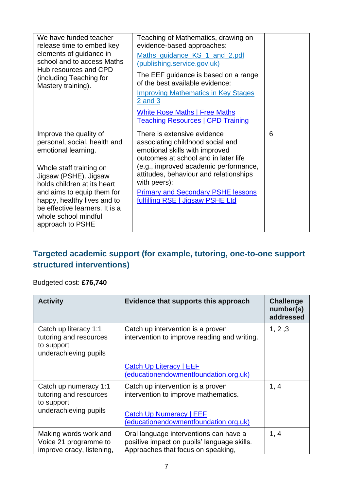| We have funded teacher<br>release time to embed key<br>elements of guidance in<br>school and to access Maths<br>Hub resources and CPD<br>(including Teaching for<br>Mastery training).                                                                                                                      | Teaching of Mathematics, drawing on<br>evidence-based approaches:<br>Maths_guidance_KS_1_and_2.pdf<br>(publishing.service.gov.uk)<br>The EEF guidance is based on a range<br>of the best available evidence:<br><b>Improving Mathematics in Key Stages</b><br>2 and 3<br><b>White Rose Maths   Free Maths</b><br><b>Teaching Resources   CPD Training</b> |   |
|-------------------------------------------------------------------------------------------------------------------------------------------------------------------------------------------------------------------------------------------------------------------------------------------------------------|-----------------------------------------------------------------------------------------------------------------------------------------------------------------------------------------------------------------------------------------------------------------------------------------------------------------------------------------------------------|---|
| Improve the quality of<br>personal, social, health and<br>emotional learning.<br>Whole staff training on<br>Jigsaw (PSHE). Jigsaw<br>holds children at its heart<br>and aims to equip them for<br>happy, healthy lives and to<br>be effective learners. It is a<br>whole school mindful<br>approach to PSHE | There is extensive evidence<br>associating childhood social and<br>emotional skills with improved<br>outcomes at school and in later life<br>(e.g., improved academic performance,<br>attitudes, behaviour and relationships<br>with peers):<br><b>Primary and Secondary PSHE lessons</b><br>fulfilling RSE   Jigsaw PSHE Ltd                             | 6 |

#### **Targeted academic support (for example, tutoring, one-to-one support structured interventions)**

#### Budgeted cost: **£76,740**

| <b>Activity</b>                                                                        | Evidence that supports this approach                                                                                                                 | <b>Challenge</b><br>number(s)<br>addressed |
|----------------------------------------------------------------------------------------|------------------------------------------------------------------------------------------------------------------------------------------------------|--------------------------------------------|
| Catch up literacy 1:1<br>tutoring and resources<br>to support<br>underachieving pupils | Catch up intervention is a proven<br>intervention to improve reading and writing.                                                                    | 1, 2, 3                                    |
|                                                                                        | Catch Up Literacy   EEF<br>(educationendowmentfoundation.org.uk)                                                                                     |                                            |
| Catch up numeracy 1:1<br>tutoring and resources<br>to support<br>underachieving pupils | Catch up intervention is a proven<br>intervention to improve mathematics.<br><b>Catch Up Numeracy   EEF</b><br>(educationendowmentfoundation.org.uk) | 1, 4                                       |
| Making words work and<br>Voice 21 programme to<br>improve oracy, listening,            | Oral language interventions can have a<br>positive impact on pupils' language skills.<br>Approaches that focus on speaking,                          | 1, 4                                       |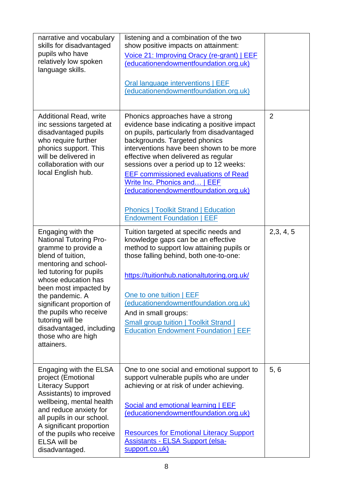| narrative and vocabulary<br>skills for disadvantaged<br>pupils who have<br>relatively low spoken<br>language skills.                                                                                                                                                                                                                                             | listening and a combination of the two<br>show positive impacts on attainment:<br>Voice 21: Improving Oracy (re-grant)   EEF<br>(educationendowmentfoundation.org.uk)<br>Oral language interventions   EEF<br>(educationendowmentfoundation.org.uk)                                                                                                                                                                                                                                                    |                |
|------------------------------------------------------------------------------------------------------------------------------------------------------------------------------------------------------------------------------------------------------------------------------------------------------------------------------------------------------------------|--------------------------------------------------------------------------------------------------------------------------------------------------------------------------------------------------------------------------------------------------------------------------------------------------------------------------------------------------------------------------------------------------------------------------------------------------------------------------------------------------------|----------------|
| <b>Additional Read, write</b><br>inc sessions targeted at<br>disadvantaged pupils<br>who require further<br>phonics support. This<br>will be delivered in<br>collaboration with our<br>local English hub.                                                                                                                                                        | Phonics approaches have a strong<br>evidence base indicating a positive impact<br>on pupils, particularly from disadvantaged<br>backgrounds. Targeted phonics<br>interventions have been shown to be more<br>effective when delivered as regular<br>sessions over a period up to 12 weeks:<br><b>EEF commissioned evaluations of Read</b><br>Write Inc. Phonics and   EEF<br>(educationendowmentfoundation.org.uk)<br><b>Phonics   Toolkit Strand   Education</b><br><b>Endowment Foundation   EEF</b> | $\overline{2}$ |
| Engaging with the<br><b>National Tutoring Pro-</b><br>gramme to provide a<br>blend of tuition,<br>mentoring and school-<br>led tutoring for pupils<br>whose education has<br>been most impacted by<br>the pandemic. A<br>significant proportion of<br>the pupils who receive<br>tutoring will be<br>disadvantaged, including<br>those who are high<br>attainers. | Tuition targeted at specific needs and<br>knowledge gaps can be an effective<br>method to support low attaining pupils or<br>those falling behind, both one-to-one:<br>https://tuitionhub.nationaltutoring.org.uk/<br>One to one tuition   EEF<br>(educationendowmentfoundation.org.uk)<br>And in small groups:<br><b>Small group tuition   Toolkit Strand  </b><br><b>Education Endowment Foundation   EEF</b>                                                                                        | 2,3,4,5        |
| Engaging with the ELSA<br>project (Emotional<br><b>Literacy Support</b><br>Assistants) to improved<br>wellbeing, mental health<br>and reduce anxiety for<br>all pupils in our school.<br>A significant proportion<br>of the pupils who receive<br>ELSA will be<br>disadvantaged.                                                                                 | One to one social and emotional support to<br>support vulnerable pupils who are under<br>achieving or at risk of under achieving.<br>Social and emotional learning   EEF<br>(educationendowmentfoundation.org.uk)<br><b>Resources for Emotional Literacy Support</b><br><b>Assistants - ELSA Support (elsa-</b><br>support.co.uk)                                                                                                                                                                      | 5, 6           |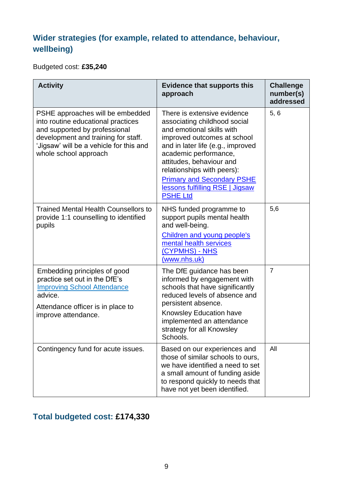### **Wider strategies (for example, related to attendance, behaviour, wellbeing)**

Budgeted cost: **£35,240**

| <b>Activity</b>                                                                                                                                                                                                    | <b>Evidence that supports this</b><br>approach                                                                                                                                                                                                                                                                                             | <b>Challenge</b><br>number(s)<br>addressed |
|--------------------------------------------------------------------------------------------------------------------------------------------------------------------------------------------------------------------|--------------------------------------------------------------------------------------------------------------------------------------------------------------------------------------------------------------------------------------------------------------------------------------------------------------------------------------------|--------------------------------------------|
| PSHE approaches will be embedded<br>into routine educational practices<br>and supported by professional<br>development and training for staff.<br>'Jigsaw' will be a vehicle for this and<br>whole school approach | There is extensive evidence<br>associating childhood social<br>and emotional skills with<br>improved outcomes at school<br>and in later life (e.g., improved<br>academic performance,<br>attitudes, behaviour and<br>relationships with peers):<br><b>Primary and Secondary PSHE</b><br>lessons fulfilling RSE   Jigsaw<br><b>PSHE Ltd</b> | 5, 6                                       |
| <b>Trained Mental Health Counsellors to</b><br>provide 1:1 counselling to identified<br>pupils                                                                                                                     | NHS funded programme to<br>support pupils mental health<br>and well-being.<br><b>Children and young people's</b><br>mental health services<br>(CYPMHS) - NHS<br>(www.nhs.uk)                                                                                                                                                               | 5,6                                        |
| Embedding principles of good<br>practice set out in the DfE's<br><b>Improving School Attendance</b><br>advice.<br>Attendance officer is in place to<br>improve attendance.                                         | The DfE guidance has been<br>informed by engagement with<br>schools that have significantly<br>reduced levels of absence and<br>persistent absence.<br><b>Knowsley Education have</b><br>implemented an attendance<br>strategy for all Knowsley<br>Schools.                                                                                | $\overline{7}$                             |
| Contingency fund for acute issues.                                                                                                                                                                                 | Based on our experiences and<br>those of similar schools to ours,<br>we have identified a need to set<br>a small amount of funding aside<br>to respond quickly to needs that<br>have not yet been identified.                                                                                                                              | All                                        |

### **Total budgeted cost: £174,330**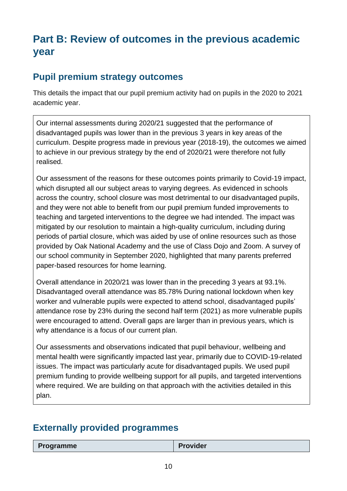## **Part B: Review of outcomes in the previous academic year**

#### **Pupil premium strategy outcomes**

This details the impact that our pupil premium activity had on pupils in the 2020 to 2021 academic year.

Our internal assessments during 2020/21 suggested that the performance of disadvantaged pupils was lower than in the previous 3 years in key areas of the curriculum. Despite progress made in previous year (2018-19), the outcomes we aimed to achieve in our previous strategy by the end of 2020/21 were therefore not fully realised.

Our assessment of the reasons for these outcomes points primarily to Covid-19 impact, which disrupted all our subject areas to varying degrees. As evidenced in schools across the country, school closure was most detrimental to our disadvantaged pupils, and they were not able to benefit from our pupil premium funded improvements to teaching and targeted interventions to the degree we had intended. The impact was mitigated by our resolution to maintain a high-quality curriculum, including during periods of partial closure, which was aided by use of online resources such as those provided by Oak National Academy and the use of Class Dojo and Zoom. A survey of our school community in September 2020, highlighted that many parents preferred paper-based resources for home learning.

Overall attendance in 2020/21 was lower than in the preceding 3 years at 93.1%. Disadvantaged overall attendance was 85.78% During national lockdown when key worker and vulnerable pupils were expected to attend school, disadvantaged pupils' attendance rose by 23% during the second half term (2021) as more vulnerable pupils were encouraged to attend. Overall gaps are larger than in previous years, which is why attendance is a focus of our current plan.

Our assessments and observations indicated that pupil behaviour, wellbeing and mental health were significantly impacted last year, primarily due to COVID-19-related issues. The impact was particularly acute for disadvantaged pupils. We used pupil premium funding to provide wellbeing support for all pupils, and targeted interventions where required. We are building on that approach with the activities detailed in this plan.

### **Externally provided programmes**

| <b>Programme</b> | <b>Provider</b> |
|------------------|-----------------|
|                  |                 |